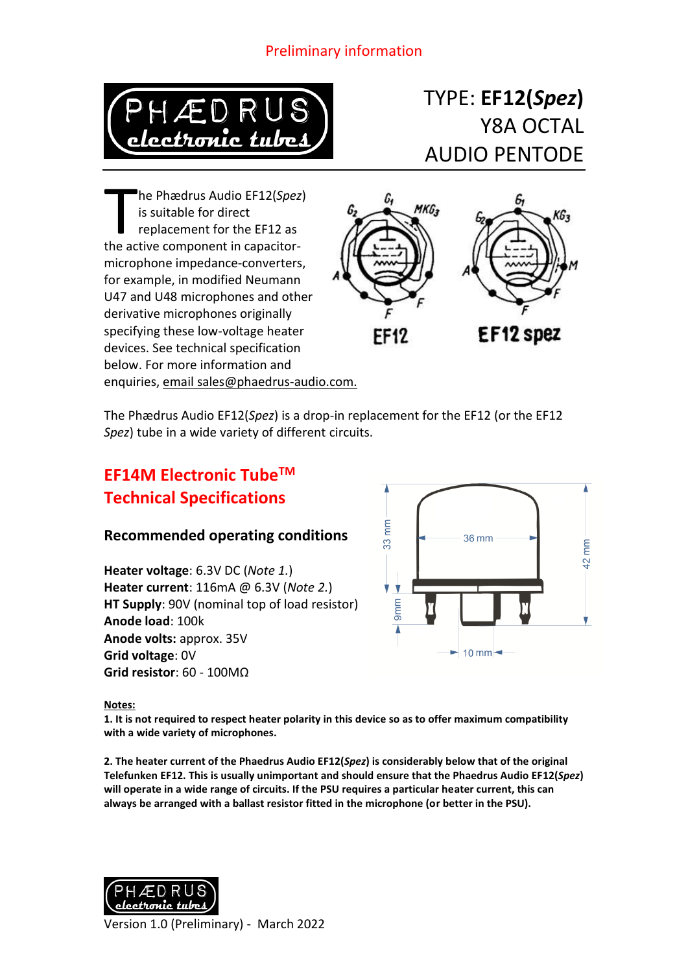### Preliminary information



# TYPE: **EF12(***Spez***)** Y8A OCTAL AUDIO PENTODE

he Phædrus Audio EF12(*Spez*) is suitable for direct replacement for the EF12 as The Phædrus Audio EF12(Spez<br>
is suitable for direct<br>
replacement for the EF12 as<br>
the active component in capacitormicrophone impedance-converters, for example, in modified Neumann U47 and U48 microphones and other derivative microphones originally specifying these low-voltage heater devices. See technical specification below. For more information and enquiries, email sales@phaedrus-audio.com.



The Phædrus Audio EF12(*Spez*) is a drop-in replacement for the EF12 (or the EF12 *Spez*) tube in a wide variety of different circuits.

## **EF14M Electronic TubeTM Technical Specifications**

#### **Recommended operating conditions**

**Heater voltage**: 6.3V DC (*Note 1.*) **Heater current**: 116mA @ 6.3V (*Note 2.*) **HT Supply**: 90V (nominal top of load resistor) **Anode load**: 100k **Anode volts:** approx. 35V **Grid voltage**: 0V **Grid resistor**: 60 - 100MΩ



**Notes:**

**1. It is not required to respect heater polarity in this device so as to offer maximum compatibility with a wide variety of microphones.**

**2. The heater current of the Phaedrus Audio EF12(***Spez***) is considerably below that of the original Telefunken EF12. This is usually unimportant and should ensure that the Phaedrus Audio EF12(***Spez***) will operate in a wide range of circuits. If the PSU requires a particular heater current, this can always be arranged with a ballast resistor fitted in the microphone (or better in the PSU).**

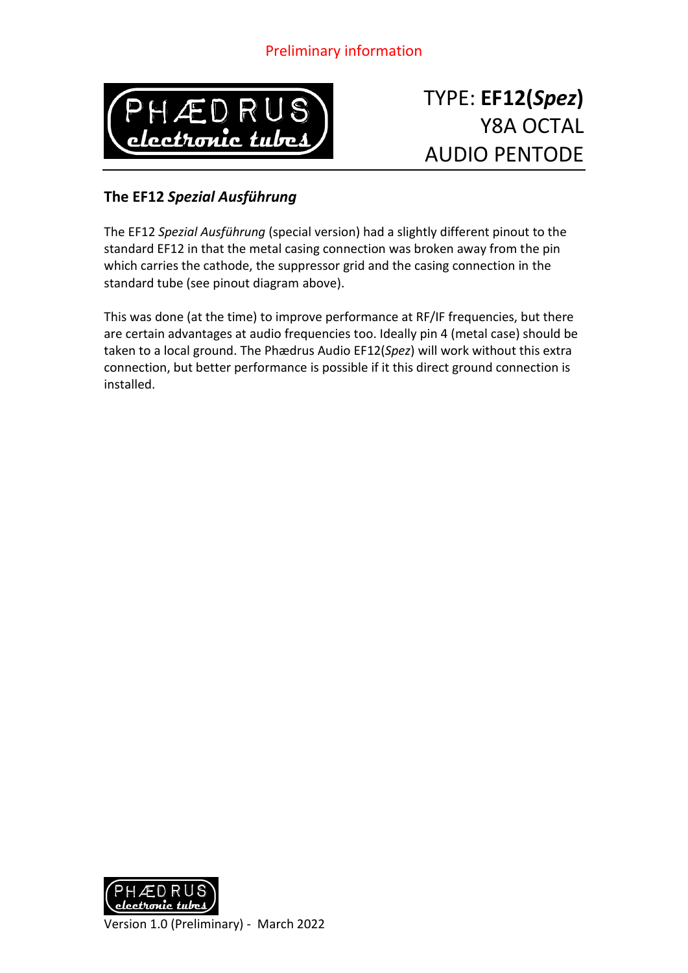### Preliminary information



# TYPE: **EF12(***Spez***)** Y8A OCTAL AUDIO PENTODE

#### **The EF12** *Spezial Ausführung*

The EF12 *Spezial Ausführung* (special version) had a slightly different pinout to the standard EF12 in that the metal casing connection was broken away from the pin which carries the cathode, the suppressor grid and the casing connection in the standard tube (see pinout diagram above).

This was done (at the time) to improve performance at RF/IF frequencies, but there are certain advantages at audio frequencies too. Ideally pin 4 (metal case) should be taken to a local ground. The Phædrus Audio EF12(*Spez*) will work without this extra connection, but better performance is possible if it this direct ground connection is installed.